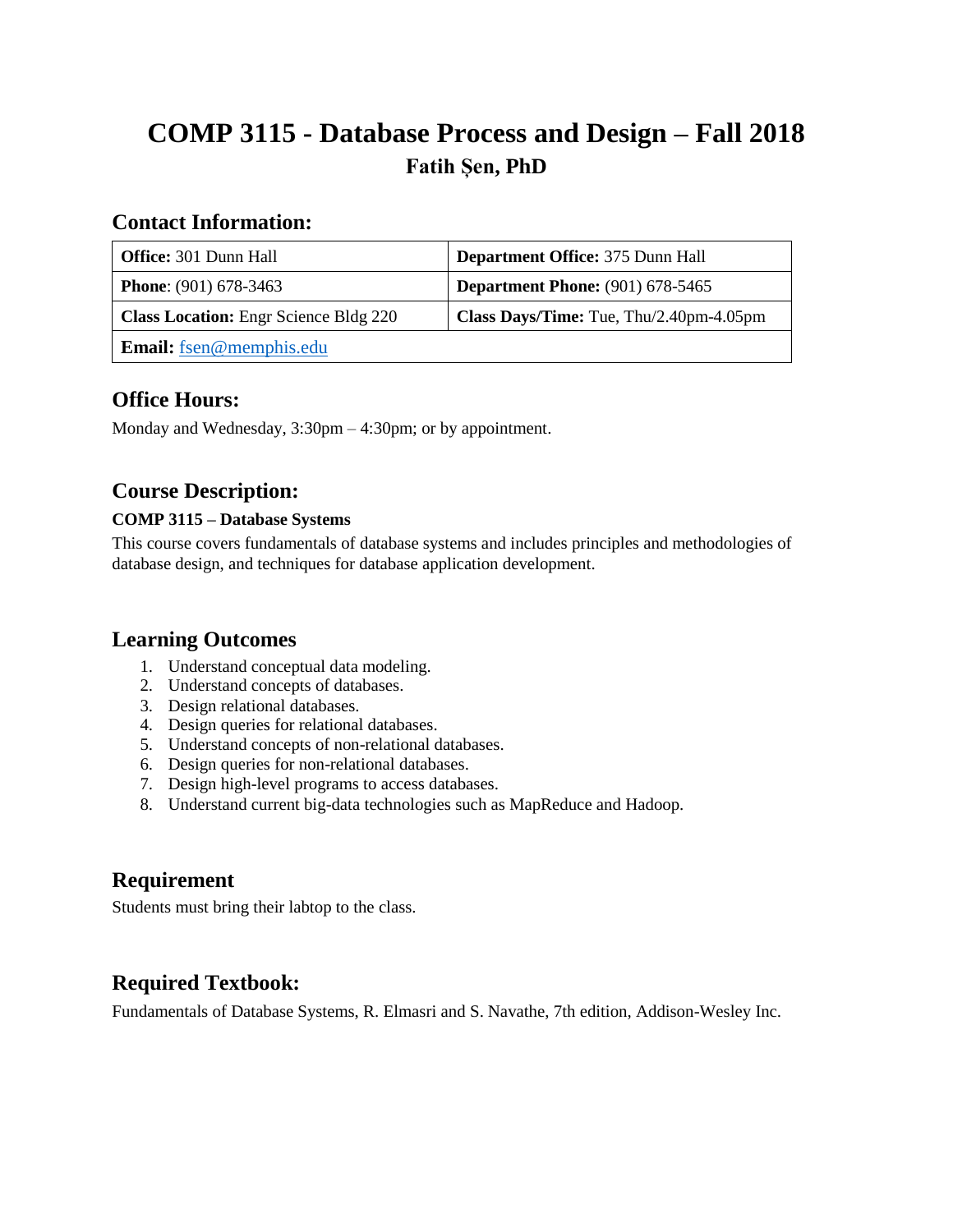# **COMP 3115 - Database Process and Design – Fall 2018 Fatih Șen, PhD**

### **Contact Information:**

| <b>Office:</b> 301 Dunn Hall                 | <b>Department Office: 375 Dunn Hall</b> |
|----------------------------------------------|-----------------------------------------|
| <b>Phone:</b> $(901)$ 678-3463               | <b>Department Phone:</b> (901) 678-5465 |
| <b>Class Location:</b> Engr Science Bldg 220 | Class Days/Time: Tue, Thu/2.40pm-4.05pm |
| <b>Email:</b> fsen@memphis.edu               |                                         |

## **Office Hours:**

Monday and Wednesday, 3:30pm – 4:30pm; or by appointment.

# **Course Description:**

#### **COMP 3115 – Database Systems**

This course covers fundamentals of database systems and includes principles and methodologies of database design, and techniques for database application development.

### **Learning Outcomes**

- 1. Understand conceptual data modeling.
- 2. Understand concepts of databases.
- 3. Design relational databases.
- 4. Design queries for relational databases.
- 5. Understand concepts of non-relational databases.
- 6. Design queries for non-relational databases.
- 7. Design high-level programs to access databases.
- 8. Understand current big-data technologies such as MapReduce and Hadoop.

# **Requirement**

Students must bring their labtop to the class.

# **Required Textbook:**

Fundamentals of Database Systems, R. Elmasri and S. Navathe, 7th edition, Addison-Wesley Inc.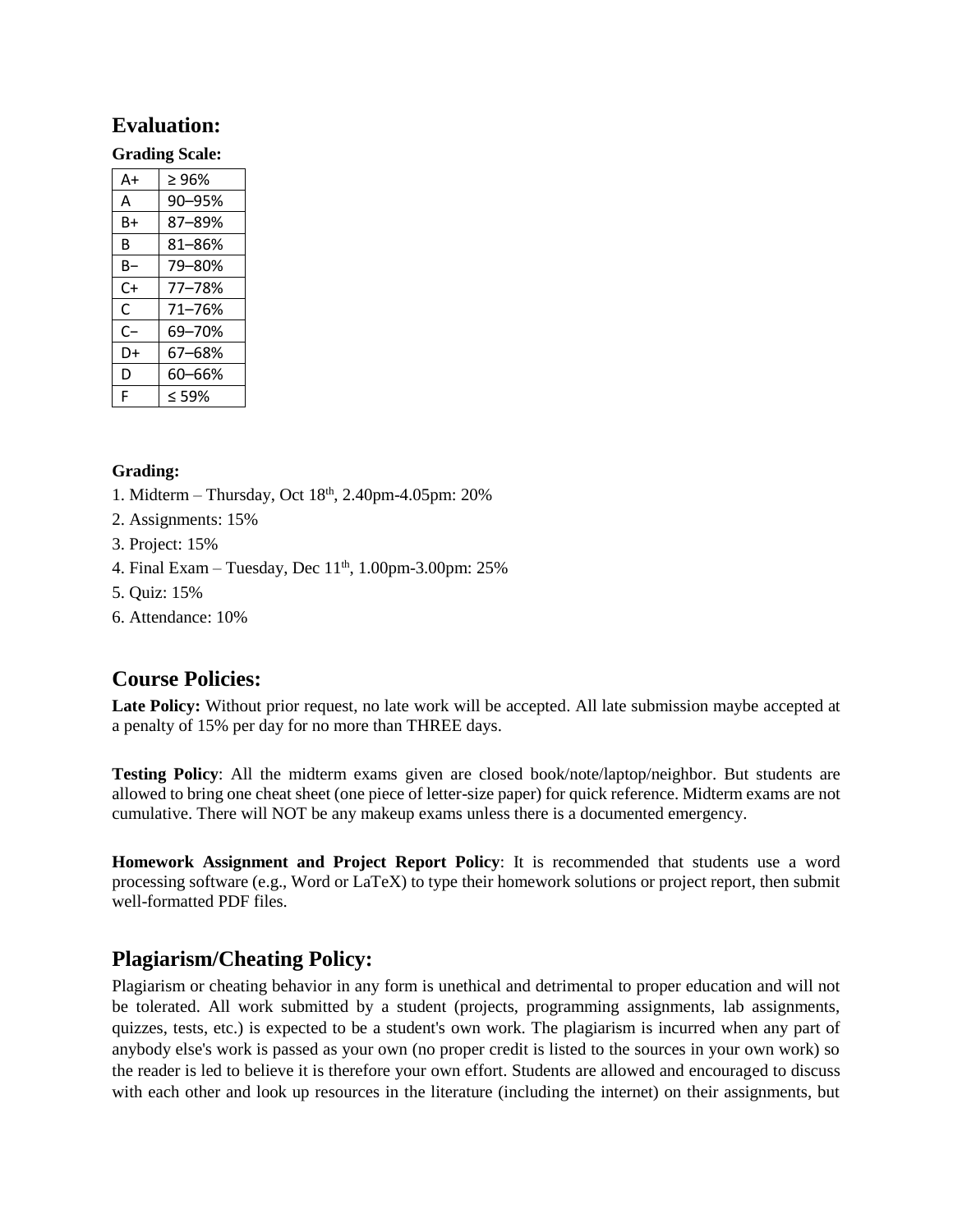### **Evaluation:**

#### **Grading Scale:**

| $A+$ | ≥ 96%  |
|------|--------|
| A    | 90-95% |
| B+   | 87-89% |
| B    | 81-86% |
| B-   | 79-80% |
| $C+$ | 77-78% |
| C    | 71-76% |
| C-   | 69–70% |
| D+   | 67-68% |
| D    | 60-66% |
| F    | < 59%  |

#### **Grading:**

- 1. Midterm Thursday, Oct  $18<sup>th</sup>$ , 2.40pm-4.05pm: 20%
- 2. Assignments: 15%
- 3. Project: 15%
- 4. Final Exam Tuesday, Dec  $11<sup>th</sup>$ , 1.00pm-3.00pm: 25%
- 5. Quiz: 15%
- 6. Attendance: 10%

# **Course Policies:**

**Late Policy:** Without prior request, no late work will be accepted. All late submission maybe accepted at a penalty of 15% per day for no more than THREE days.

**Testing Policy**: All the midterm exams given are closed book/note/laptop/neighbor. But students are allowed to bring one cheat sheet (one piece of letter-size paper) for quick reference. Midterm exams are not cumulative. There will NOT be any makeup exams unless there is a documented emergency.

**Homework Assignment and Project Report Policy**: It is recommended that students use a word processing software (e.g., Word or LaTeX) to type their homework solutions or project report, then submit well-formatted PDF files.

# **Plagiarism/Cheating Policy:**

Plagiarism or cheating behavior in any form is unethical and detrimental to proper education and will not be tolerated. All work submitted by a student (projects, programming assignments, lab assignments, quizzes, tests, etc.) is expected to be a student's own work. The plagiarism is incurred when any part of anybody else's work is passed as your own (no proper credit is listed to the sources in your own work) so the reader is led to believe it is therefore your own effort. Students are allowed and encouraged to discuss with each other and look up resources in the literature (including the internet) on their assignments, but